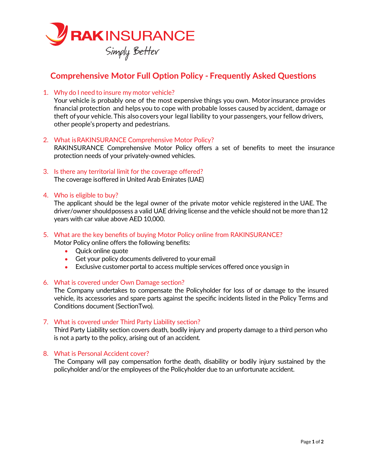

# **Comprehensive Motor Full Option Policy - Frequently Asked Questions**

1. Why do I need to insure my motor vehicle?

Your vehicle is probably one of the most expensive things you own. Motor insurance provides financial protection and helps you to cope with probable losses caused by accident, damage or theft of your vehicle. This also covers your legal liability to your passengers, your fellow drivers, other people's property and pedestrians.

2. What is RAKINSURANCE Comprehensive Motor Policy?

RAKINSURANCE Comprehensive Motor Policy offers a set of benefits to meet the insurance protection needs of your privately-owned vehicles.

- 3. Is there any territorial limit for the coverage offered? The coverage is offered in United Arab Emirates (UAE)
- 4. Who is eligible to buy?

The applicant should be the legal owner of the private motor vehicle registered in the UAE. The driver/owner shouldpossess a valid UAE driving license and the vehicle should not be more than 12 years with car value above AED 10,000.

### 5. What are the key benefits of buying Motor Policy online from RAKINSURANCE? Motor Policy online offers the following benefits:

- Quick online quote
- Get your policy documents delivered to your email
- Exclusive customer portal to access multiple services offered once yousign in
- 6. What is covered under Own Damage section?

The Company undertakes to compensate the Policyholder for loss of or damage to the insured vehicle, its accessories and spare parts against the specific incidents listed in the Policy Terms and Conditions document (Section Two).

#### 7. What is covered under Third Party Liability section?

Third Party Liability section covers death, bodily injury and property damage to a third person who is not a party to the policy, arising out of an accident.

## 8. What is Personal Accident cover?

The Company will pay compensation forthe death, disability or bodily injury sustained by the policyholder and/or the employees of the Policyholder due to an unfortunate accident.